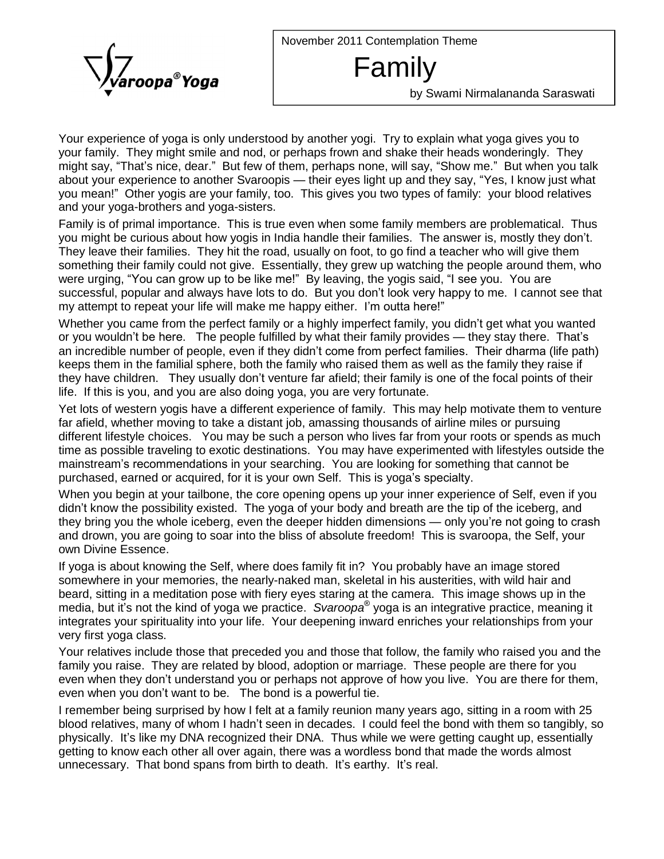November 2011 Contemplation Theme



## Family

by Swami Nirmalananda Saraswati

Your experience of yoga is only understood by another yogi. Try to explain what yoga gives you to your family. They might smile and nod, or perhaps frown and shake their heads wonderingly. They Your experience of yoga is only understood by another yogi. Try to explain what yoga gives you to<br>your family. They might smile and nod, or perhaps frown and shake their heads wonderingly. They<br>might say, "That's nice, bour family. They might smile and nod, or perhaps frown and shake their heads wonderingly. They might say, "That's nice, dear." But few of them, perhaps none, will say, "Show me." But when you talk about your experience to your many. "That's nice, dear." But few of them, perhaps none, will say, "Show me." But when you talk<br>about your experience to another Svaroopis — their eyes light up and they say, "Yes, I know just what<br>you mean!" Other y and your yoga-brothers and yoga-sisters.

Family is of primal importance. This is true even when some family members are problematical. Thus you might be curious about how yogis in India handle their families. The answer is, mostly they donít. They leave their families. They hit the road, usually on foot, to go find a teacher who will give them something their family could not give. Essentially, they grew up watching the people around them, who They leave their families. They hit the road, usually on foot, to go find a teacher who will give them<br>something their family could not give. Essentially, they grew up watching the people around them, who<br>were urging, "You successful, popular and always have lots to do. But you don't look very happy to me. I cannot see that were urging, "You can grow up to be like me!" By leaving, the yogis said, "I see you. You are successful, popular and always have lots to do. But you don't look very happy to me. I cannot my attempt to repeat your life wil successful, popular and always have lots to do. But you don't look very happy to me. I cannot see that<br>my attempt to repeat your life will make me happy either. I'm outta here!"<br>Whether you came from the perfect family

my attempt to repeat your life will make me happy either. I'm outta here!"<br>Whether you came from the perfect family or a highly imperfect family, you didn't get what you wanted<br>or you wouldn't be here. The people fulfill Whether you came from the perfect family or a highly imperfect family, you didn't get what you wanted<br>or you wouldn't be here. The people fulfilled by what their family provides — they stay there. That's<br>an incredible numb keeps them in the familial sphere, both the family who raised them as well as the family they raise if or you wouldn't be here. The people fulfilled by what their family provides — they stay there. That's an incredible number of people, even if they didn't come from perfect families. Their dharma (life path) keeps them in t life. If this is you, and you are also doing yoga, you are very fortunate.

Yet lots of western yogis have a different experience of family. This may help motivate them to venture far afield, whether moving to take a distant job, amassing thousands of airline miles or pursuing different lifestyle choices. You may be such a person who lives far from your roots or spends as much time as possible traveling to exotic destinations. You may have experimented with lifestyles outside the main terent lifestyle choices. You may be such a person who lives far from your roots or spends as much<br>time as possible traveling to exotic destinations. You may have experimented with lifestyles outside the<br>mainstream's Fine as possible traveling to exotic destinations. You may have experimented with mainstream's recommendations in your searching. You are looking for something t<br>purchased, earned or acquired, for it is your own Self. This

When you begin at your tailbone, the core opening opens up your inner experience of Self, even if you purchased, earned or acquired, for it is your own Self. This is yoga's specialty.<br>When you begin at your tailbone, the core opening opens up your inner experience of Self, even if you<br>didn't know the possibility existed. didn't know the possibility existed. The yoga of your body and breath are the tip of the iceberg, and<br>they bring you the whole iceberg, even the deeper hidden dimensions — only you're not going to crash and drown, you are going to soar into the bliss of absolute freedom! This is svaroopa, the Self, your own Divine Essence.

If yoga is about knowing the Self, where does family fit in? You probably have an image stored somewhere in your memories, the nearly-naked man, skeletal in his austerities, with wild hair and Æbeard, sitting in a meditation pose with fiery eyes staring at the camera. This image shows up in the media, but it is not memories, the nearly-naked man, skeletal in his austerities, with wild hair and<br>beard, sitting in a meditation pose with fiery eyes staring at the camera. This image shows up in the<br>media, but it's not integrates your spirituality into your life. Your deepening inward enriches your relationships from your very first yoga class.

Your relatives include those that preceded you and those that follow, the family who raised you and the family you raise. They are related by blood, adoption or marriage. These people are there for you Your relatives include those that preceded you and those that follow, the family who raised you and the<br>family you raise. They are related by blood, adoption or marriage. These people are there for you<br>even when they don't Family you raise. They are related by blood, adoption or marriage<br>even when they don't understand you or perhaps not approve of h<br>even when you don't want to be. The bond is a powerful tie.

I remember being surprised by how I felt at a family reunion many years ago, sitting in a room with 25 even when you don't want to be. The bond is a powerful tie.<br>I remember being surprised by how I felt at a family reunion many years ago, sitting in a room with 25<br>blood relatives, many of whom I hadn't seen in decades. I remember being surprised by how I felt at a family reunion many years ago, sitting in a room with 25<br>blood relatives, many of whom I hadn't seen in decades. I could feel the bond with them so tangibly, so<br>physically. It' getting to know each other all over again, there was a wordless bond that made the words almost blood relatives, many of whom I hadn't seen in decades. I could feel the bond with them so tangibly, so physically. It's like my DNA recognized their DNA. Thus while we were getting caught up, essentially getting to know e